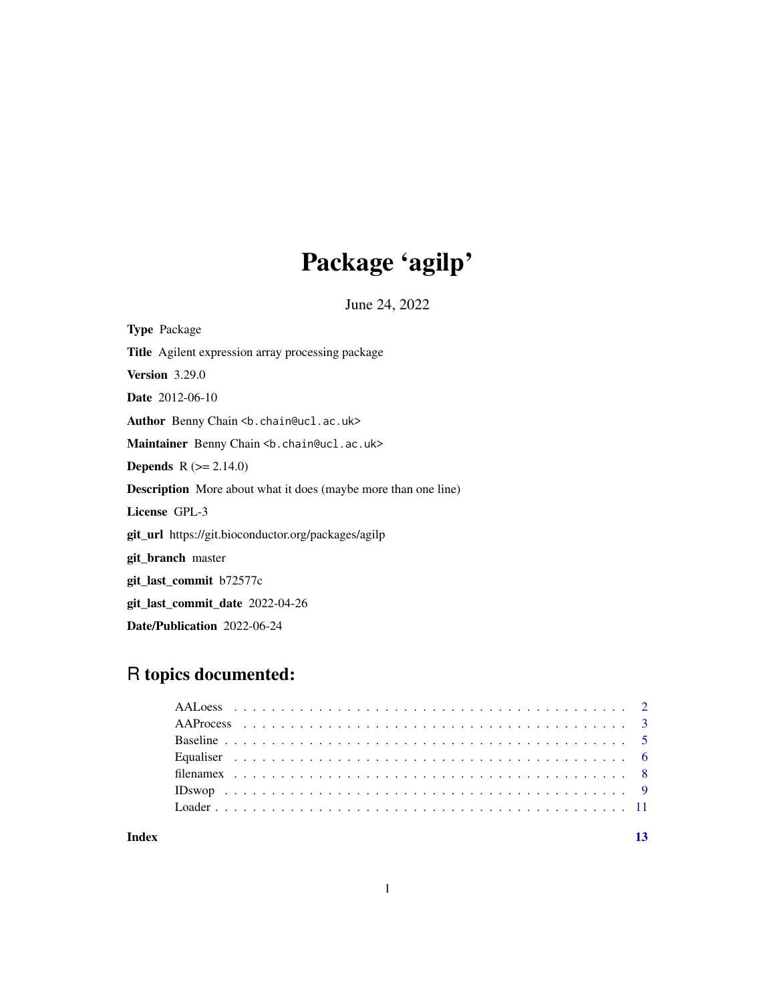# Package 'agilp'

June 24, 2022

Type Package Title Agilent expression array processing package Version 3.29.0 Date 2012-06-10 Author Benny Chain <br />b.chain@ucl.ac.uk> Maintainer Benny Chain <br />b.chain@ucl.ac.uk> **Depends**  $R$  ( $>= 2.14.0$ ) Description More about what it does (maybe more than one line) License GPL-3 git\_url https://git.bioconductor.org/packages/agilp git\_branch master git\_last\_commit b72577c git\_last\_commit\_date 2022-04-26 Date/Publication 2022-06-24

# R topics documented:

| Index |  |  |  |  |  |  |  |  |  |  |  |  |  |  |  |  |  |  |  |  |
|-------|--|--|--|--|--|--|--|--|--|--|--|--|--|--|--|--|--|--|--|--|

# 1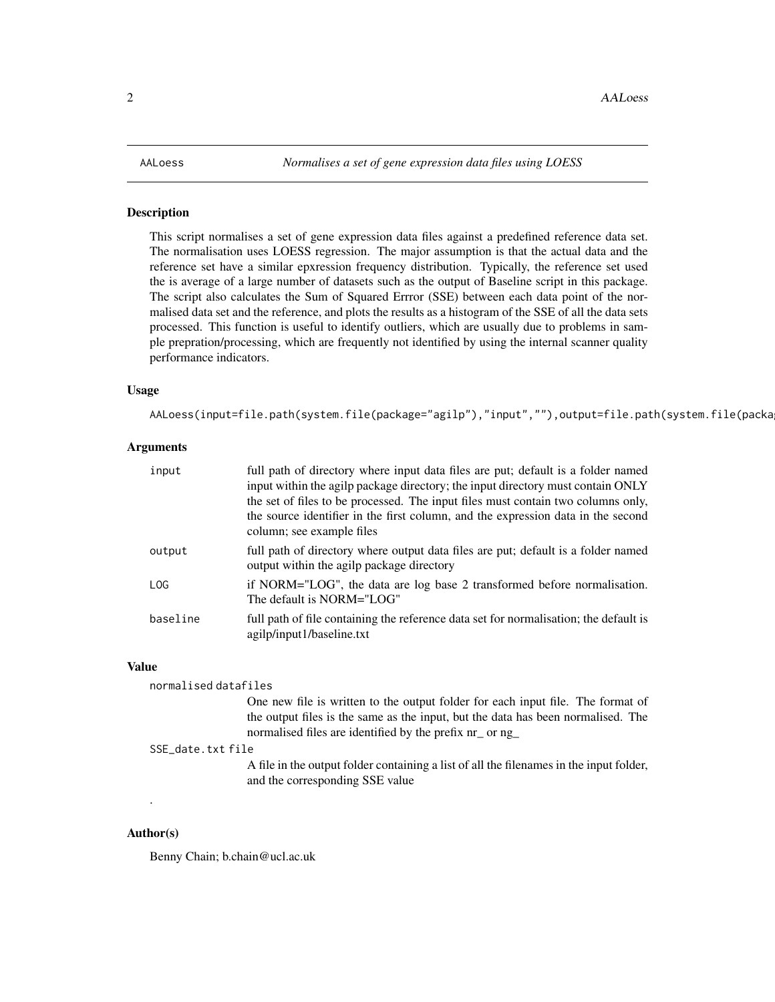#### <span id="page-1-1"></span><span id="page-1-0"></span>Description

This script normalises a set of gene expression data files against a predefined reference data set. The normalisation uses LOESS regression. The major assumption is that the actual data and the reference set have a similar epxression frequency distribution. Typically, the reference set used the is average of a large number of datasets such as the output of Baseline script in this package. The script also calculates the Sum of Squared Errror (SSE) between each data point of the normalised data set and the reference, and plots the results as a histogram of the SSE of all the data sets processed. This function is useful to identify outliers, which are usually due to problems in sample prepration/processing, which are frequently not identified by using the internal scanner quality performance indicators.

# Usage

AALoess(input=file.path(system.file(package="agilp"),"input",""),output=file.path(system.file(packa

# Arguments

| input    | full path of directory where input data files are put; default is a folder named<br>input within the agilp package directory; the input directory must contain ONLY |
|----------|---------------------------------------------------------------------------------------------------------------------------------------------------------------------|
|          | the set of files to be processed. The input files must contain two columns only,                                                                                    |
|          | the source identifier in the first column, and the expression data in the second                                                                                    |
|          | column; see example files                                                                                                                                           |
| output   | full path of directory where output data files are put; default is a folder named<br>output within the agilp package directory                                      |
| LOG      | if NORM="LOG", the data are log base 2 transformed before normalisation.<br>The default is NORM="LOG"                                                               |
| baseline | full path of file containing the reference data set for normalisation; the default is<br>agilp/input1/baseline.txt                                                  |

#### Value

normalised datafiles One new file is written to the output folder for each input file. The format of the output files is the same as the input, but the data has been normalised. The normalised files are identified by the prefix nr\_ or ng\_ SSE\_date.txt file A file in the output folder containing a list of all the filenames in the input folder, and the corresponding SSE value

# Author(s)

.

Benny Chain; b.chain@ucl.ac.uk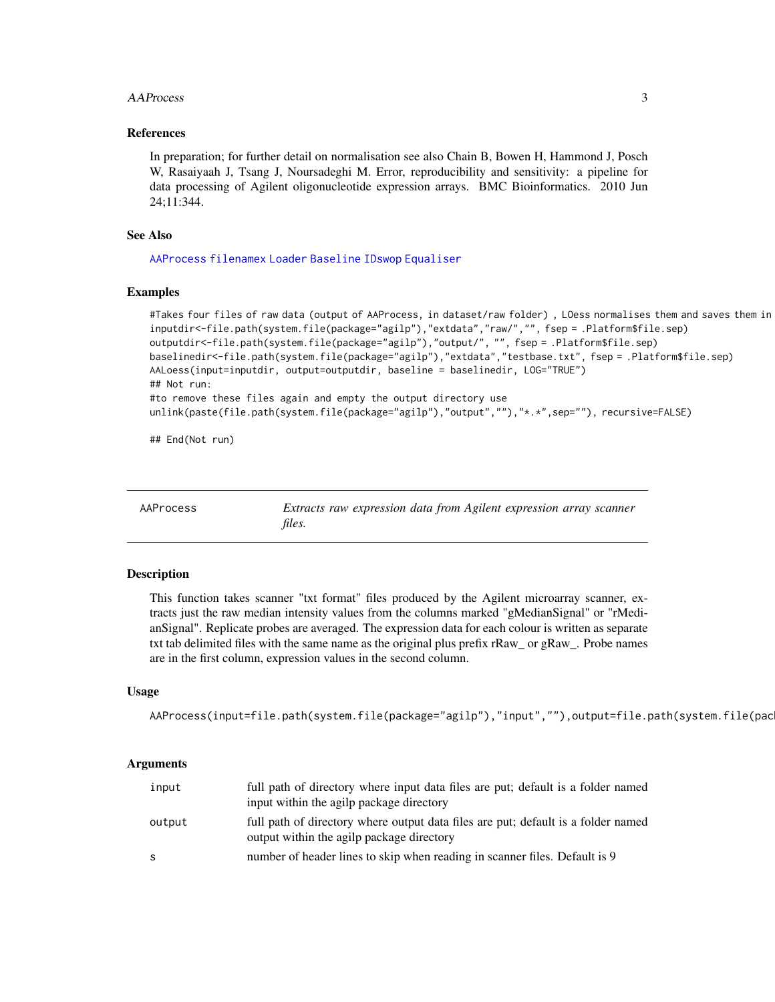# <span id="page-2-0"></span>AAProcess 3

# References

In preparation; for further detail on normalisation see also Chain B, Bowen H, Hammond J, Posch W, Rasaiyaah J, Tsang J, Noursadeghi M. Error, reproducibility and sensitivity: a pipeline for data processing of Agilent oligonucleotide expression arrays. BMC Bioinformatics. 2010 Jun 24;11:344.

# See Also

[AAProcess](#page-2-1) [filenamex](#page-7-1) [Loader](#page-10-1) [Baseline](#page-4-1) [IDswop](#page-8-1) [Equaliser](#page-5-1)

# Examples

```
#Takes four files of raw data (output of AAProcess, in dataset/raw folder) , LOess normalises them and saves them in
inputdir<-file.path(system.file(package="agilp"),"extdata","raw/","", fsep = .Platform$file.sep)
outputdir<-file.path(system.file(package="agilp"),"output/", "", fsep = .Platform$file.sep)
baselinedir<-file.path(system.file(package="agilp"),"extdata","testbase.txt", fsep = .Platform$file.sep)
AALoess(input=inputdir, output=outputdir, baseline = baselinedir, LOG="TRUE")
## Not run:
#to remove these files again and empty the output directory use
unlink(paste(file.path(system.file(package="agilp"),"output",""),"*.*",sep=""), recursive=FALSE)
```
## End(Not run)

<span id="page-2-1"></span>AAProcess *Extracts raw expression data from Agilent expression array scanner files.*

# Description

This function takes scanner "txt format" files produced by the Agilent microarray scanner, extracts just the raw median intensity values from the columns marked "gMedianSignal" or "rMedianSignal". Replicate probes are averaged. The expression data for each colour is written as separate txt tab delimited files with the same name as the original plus prefix rRaw\_ or gRaw\_. Probe names are in the first column, expression values in the second column.

# Usage

```
AAProcess(input=file.path(system.file(package="agilp"),"input",""),output=file.path(system.file(pac
```
# Arguments

| input  | full path of directory where input data files are put; default is a folder named<br>input within the agilp package directory   |
|--------|--------------------------------------------------------------------------------------------------------------------------------|
| output | full path of directory where output data files are put; default is a folder named<br>output within the agilp package directory |
| -S     | number of header lines to skip when reading in scanner files. Default is 9                                                     |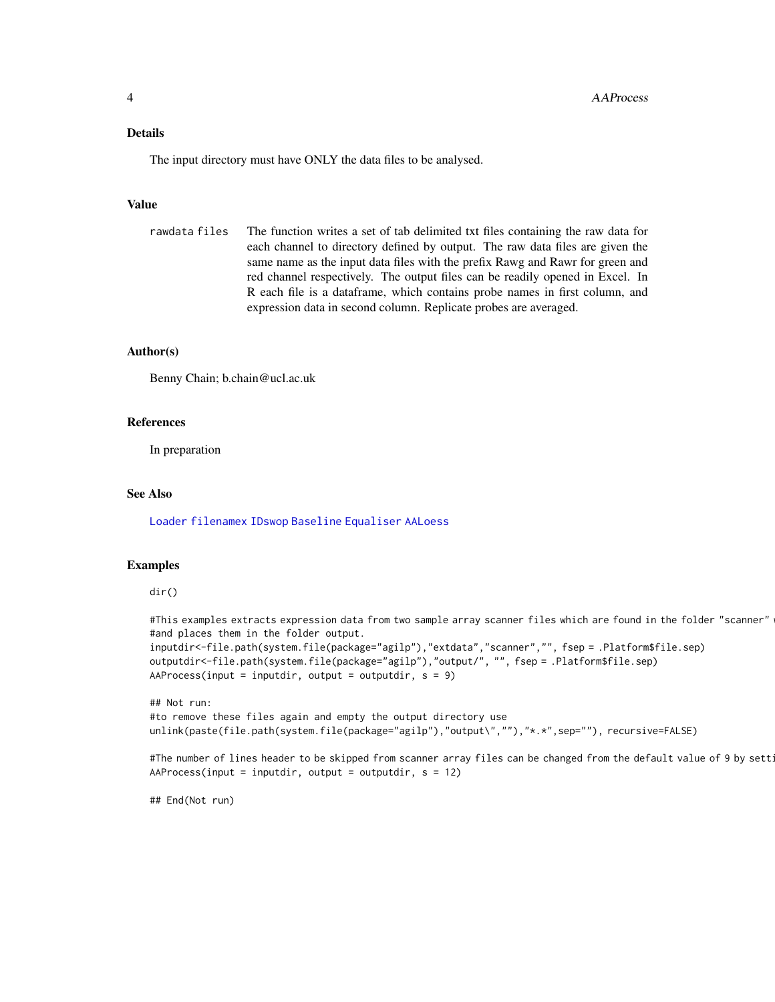# <span id="page-3-0"></span>Details

The input directory must have ONLY the data files to be analysed.

# Value

```
rawdata files The function writes a set of tab delimited txt files containing the raw data for
                  each channel to directory defined by output. The raw data files are given the
                  same name as the input data files with the prefix Rawg and Rawr for green and
                  red channel respectively. The output files can be readily opened in Excel. In
                  R each file is a dataframe, which contains probe names in first column, and
                  expression data in second column. Replicate probes are averaged.
```
# Author(s)

Benny Chain; b.chain@ucl.ac.uk

# References

In preparation

# See Also

[Loader](#page-10-1) [filenamex](#page-7-1) [IDswop](#page-8-1) [Baseline](#page-4-1) [Equaliser](#page-5-1) [AALoess](#page-1-1)

# Examples

# dir()

```
#This examples extracts expression data from two sample array scanner files which are found in the folder "scanner"
#and places them in the folder output.
inputdir<-file.path(system.file(package="agilp"),"extdata","scanner","", fsep = .Platform$file.sep)
outputdir<-file.path(system.file(package="agilp"),"output/", "", fsep = .Platform$file.sep)
AAProcess(input = inputdir, output = outputdir, s = 9)
```
## Not run: #to remove these files again and empty the output directory use unlink(paste(file.path(system.file(package="agilp"),"output\",""),"\*.\*",sep=""), recursive=FALSE)

```
#The number of lines header to be skipped from scanner array files can be changed from the default value of 9 by sett
AAProcess(input = inputdir, output = outputdir, s = 12)
```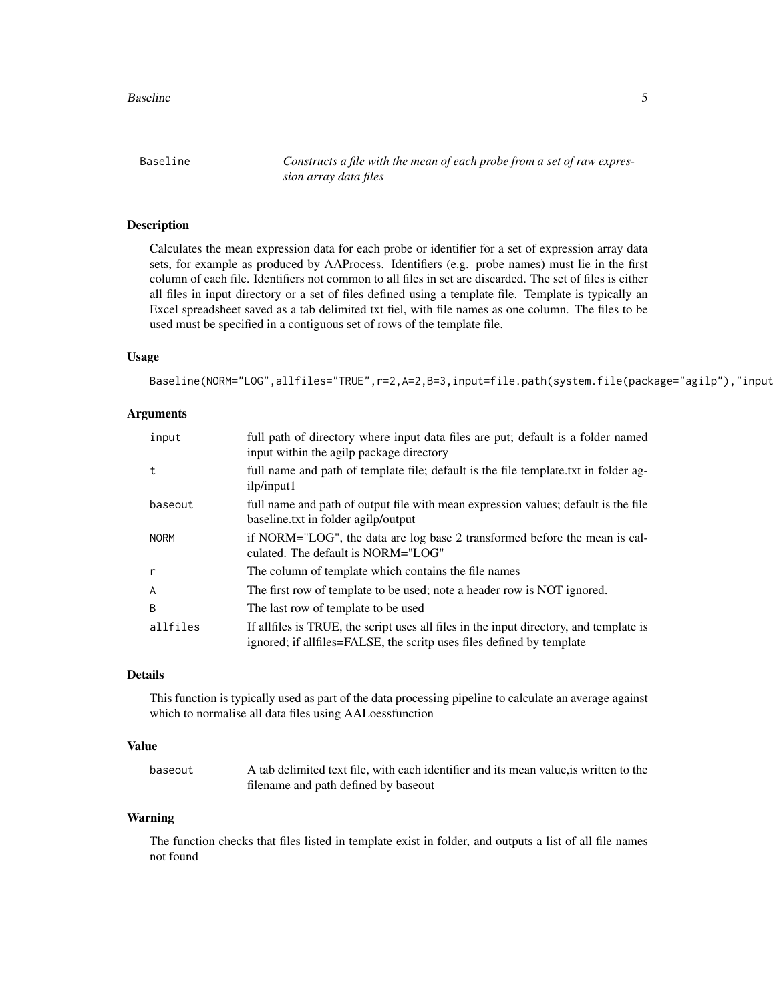<span id="page-4-1"></span><span id="page-4-0"></span>Baseline *Constructs a file with the mean of each probe from a set of raw expression array data files*

# Description

Calculates the mean expression data for each probe or identifier for a set of expression array data sets, for example as produced by AAProcess. Identifiers (e.g. probe names) must lie in the first column of each file. Identifiers not common to all files in set are discarded. The set of files is either all files in input directory or a set of files defined using a template file. Template is typically an Excel spreadsheet saved as a tab delimited txt fiel, with file names as one column. The files to be used must be specified in a contiguous set of rows of the template file.

# Usage

Baseline(NORM="LOG",allfiles="TRUE",r=2,A=2,B=3,input=file.path(system.file(package="agilp"),"input

# Arguments

| input       | full path of directory where input data files are put; default is a folder named<br>input within the agilp package directory                                     |
|-------------|------------------------------------------------------------------------------------------------------------------------------------------------------------------|
| t           | full name and path of template file; default is the file template. txt in folder ag-<br>ilp/input1                                                               |
| baseout     | full name and path of output file with mean expression values; default is the file<br>baseline.txt in folder agilp/output                                        |
| <b>NORM</b> | if NORM="LOG", the data are log base 2 transformed before the mean is cal-<br>culated. The default is NORM="LOG"                                                 |
| r           | The column of template which contains the file names                                                                                                             |
| A           | The first row of template to be used; note a header row is NOT ignored.                                                                                          |
| B           | The last row of template to be used                                                                                                                              |
| allfiles    | If all files is TRUE, the script uses all files in the input directory, and template is<br>ignored; if allfiles=FALSE, the scritp uses files defined by template |

# Details

This function is typically used as part of the data processing pipeline to calculate an average against which to normalise all data files using AALoessfunction

# Value

baseout A tab delimited text file, with each identifier and its mean value,is written to the filename and path defined by baseout

# Warning

The function checks that files listed in template exist in folder, and outputs a list of all file names not found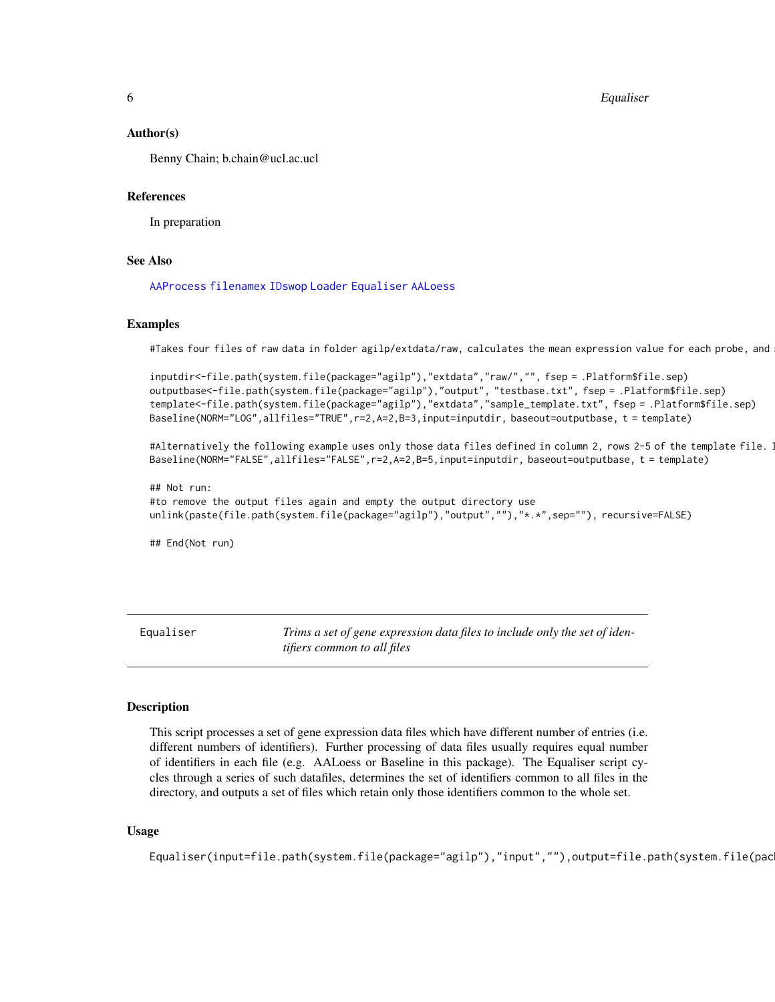<span id="page-5-0"></span>6 **Equaliser Equaliser Equaliser** 

#### Author(s)

Benny Chain; b.chain@ucl.ac.ucl

### References

In preparation

# See Also

[AAProcess](#page-2-1) [filenamex](#page-7-1) [IDswop](#page-8-1) [Loader](#page-10-1) [Equaliser](#page-5-1) [AALoess](#page-1-1)

#### Examples

#Takes four files of raw data in folder agilp/extdata/raw, calculates the mean expression value for each probe, and

inputdir<-file.path(system.file(package="agilp"),"extdata","raw/","", fsep = .Platform\$file.sep) outputbase<-file.path(system.file(package="agilp"),"output", "testbase.txt", fsep = .Platform\$file.sep) template<-file.path(system.file(package="agilp"),"extdata","sample\_template.txt", fsep = .Platform\$file.sep) Baseline(NORM="LOG",allfiles="TRUE",r=2,A=2,B=3,input=inputdir, baseout=outputbase, t = template)

#Alternatively the following example uses only those data files defined in column 2, rows 2-5 of the template file.  $\,$ Baseline(NORM="FALSE",allfiles="FALSE",r=2,A=2,B=5,input=inputdir, baseout=outputbase, t = template)

## Not run: #to remove the output files again and empty the output directory use unlink(paste(file.path(system.file(package="agilp"),"output",""),"\*.\*",sep=""), recursive=FALSE)

## End(Not run)

<span id="page-5-1"></span>Equaliser *Trims a set of gene expression data files to include only the set of identifiers common to all files*

#### Description

This script processes a set of gene expression data files which have different number of entries (i.e. different numbers of identifiers). Further processing of data files usually requires equal number of identifiers in each file (e.g. AALoess or Baseline in this package). The Equaliser script cycles through a series of such datafiles, determines the set of identifiers common to all files in the directory, and outputs a set of files which retain only those identifiers common to the whole set.

#### Usage

Equaliser(input=file.path(system.file(package="agilp"),"input",""),output=file.path(system.file(pac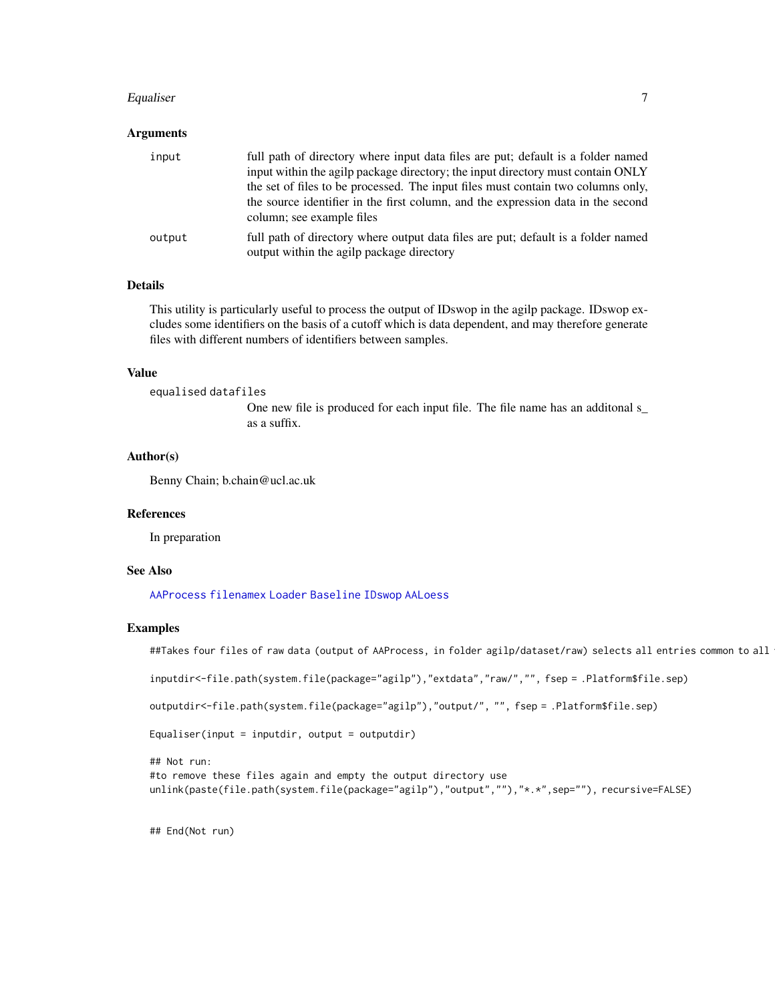# <span id="page-6-0"></span>Equaliser 7

# Arguments

| input  | full path of directory where input data files are put; default is a folder named<br>input within the agilp package directory; the input directory must contain ONLY<br>the set of files to be processed. The input files must contain two columns only,<br>the source identifier in the first column, and the expression data in the second<br>column; see example files |
|--------|--------------------------------------------------------------------------------------------------------------------------------------------------------------------------------------------------------------------------------------------------------------------------------------------------------------------------------------------------------------------------|
| output | full path of directory where output data files are put; default is a folder named<br>output within the agilp package directory                                                                                                                                                                                                                                           |

# Details

This utility is particularly useful to process the output of IDswop in the agilp package. IDswop excludes some identifiers on the basis of a cutoff which is data dependent, and may therefore generate files with different numbers of identifiers between samples.

# Value

```
equalised datafiles
```
One new file is produced for each input file. The file name has an additonal s\_ as a suffix.

# Author(s)

Benny Chain; b.chain@ucl.ac.uk

#### References

In preparation

# See Also

[AAProcess](#page-2-1) [filenamex](#page-7-1) [Loader](#page-10-1) [Baseline](#page-4-1) [IDswop](#page-8-1) [AALoess](#page-1-1)

# Examples

##Takes four files of raw data (output of AAProcess, in folder agilp/dataset/raw) selects all entries common to all

```
inputdir<-file.path(system.file(package="agilp"),"extdata","raw/","", fsep = .Platform$file.sep)
```
outputdir<-file.path(system.file(package="agilp"),"output/", "", fsep = .Platform\$file.sep)

```
Equaliser(input = inputdir, output = outputdir)
```

```
## Not run:
#to remove these files again and empty the output directory use
unlink(paste(file.path(system.file(package="agilp"),"output",""),"*.*",sep=""), recursive=FALSE)
```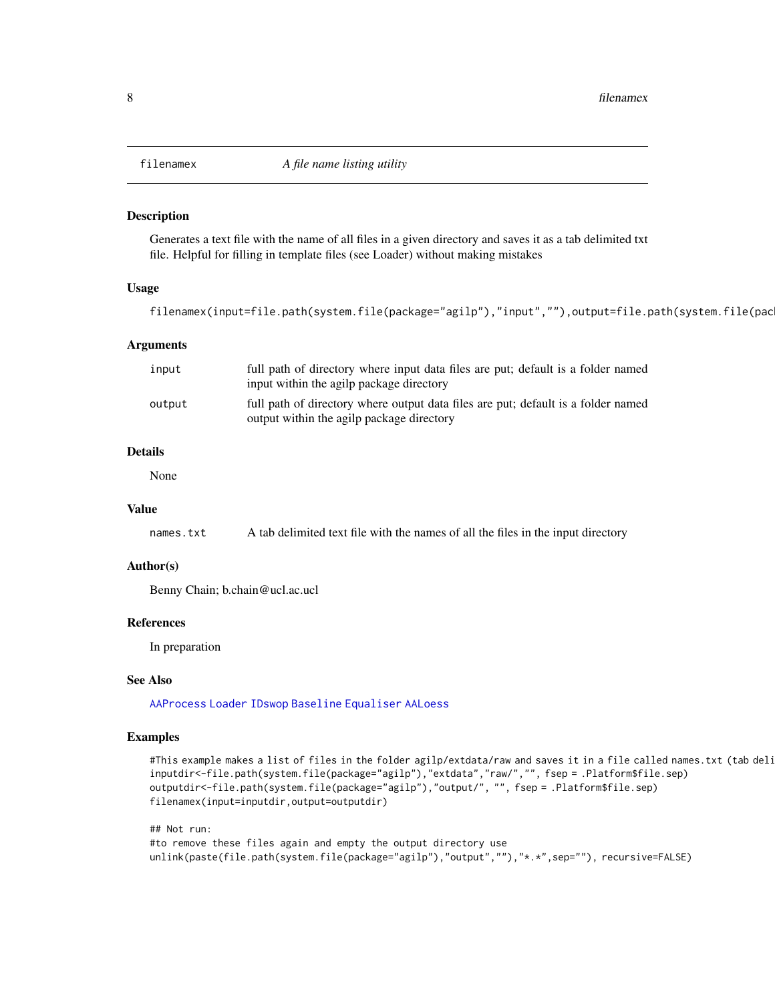<span id="page-7-1"></span><span id="page-7-0"></span>

# Description

Generates a text file with the name of all files in a given directory and saves it as a tab delimited txt file. Helpful for filling in template files (see Loader) without making mistakes

# Usage

```
filenamex(input=file.path(system.file(package="agilp"),"input",""),output=file.path(system.file(pac
```
# Arguments

| input  | full path of directory where input data files are put; default is a folder named<br>input within the agilp package directory   |
|--------|--------------------------------------------------------------------------------------------------------------------------------|
| output | full path of directory where output data files are put; default is a folder named<br>output within the agilp package directory |

# Details

None

# Value

names.txt A tab delimited text file with the names of all the files in the input directory

# Author(s)

Benny Chain; b.chain@ucl.ac.ucl

# References

In preparation

# See Also

[AAProcess](#page-2-1) [Loader](#page-10-1) [IDswop](#page-8-1) [Baseline](#page-4-1) [Equaliser](#page-5-1) [AALoess](#page-1-1)

# Examples

```
#This example makes a list of files in the folder agilp/extdata/raw and saves it in a file called names.txt (tab deli
inputdir<-file.path(system.file(package="agilp"),"extdata","raw/","", fsep = .Platform$file.sep)
outputdir<-file.path(system.file(package="agilp"),"output/", "", fsep = .Platform$file.sep)
filenamex(input=inputdir,output=outputdir)
```

```
## Not run:
#to remove these files again and empty the output directory use
unlink(paste(file.path(system.file(package="agilp"),"output",""),"*.*",sep=""), recursive=FALSE)
```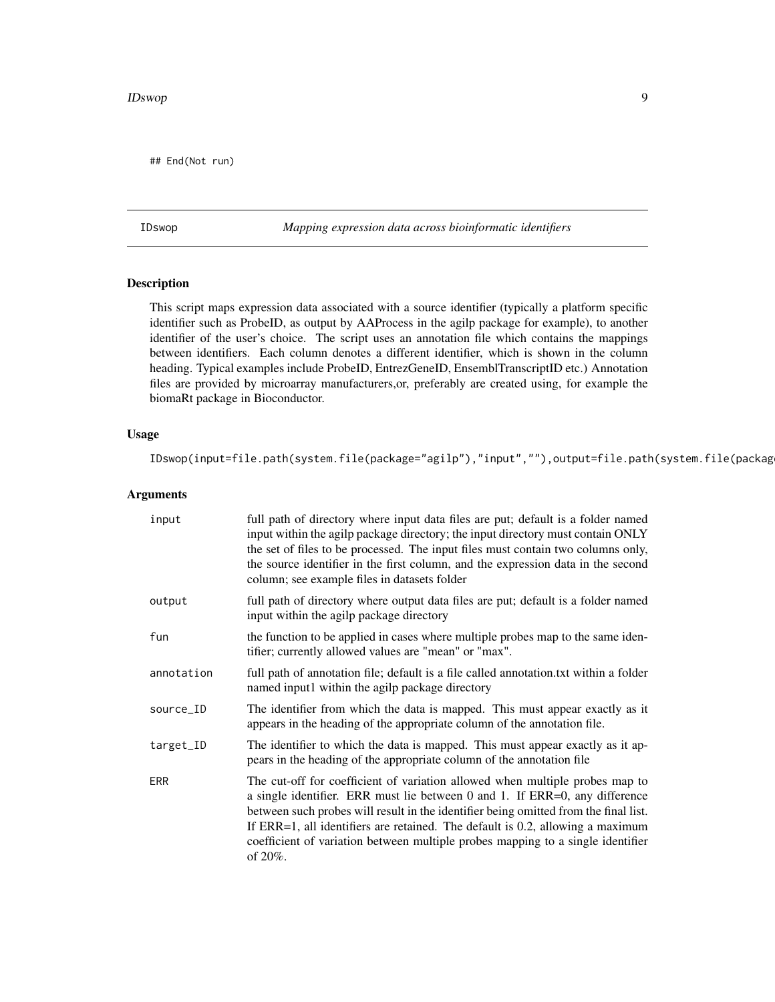# <span id="page-8-0"></span>IDswop 9

## End(Not run)

<span id="page-8-1"></span>IDswop *Mapping expression data across bioinformatic identifiers*

# Description

This script maps expression data associated with a source identifier (typically a platform specific identifier such as ProbeID, as output by AAProcess in the agilp package for example), to another identifier of the user's choice. The script uses an annotation file which contains the mappings between identifiers. Each column denotes a different identifier, which is shown in the column heading. Typical examples include ProbeID, EntrezGeneID, EnsemblTranscriptID etc.) Annotation files are provided by microarray manufacturers,or, preferably are created using, for example the biomaRt package in Bioconductor.

# Usage

IDswop(input=file.path(system.file(package="agilp"),"input",""),output=file.path(system.file(packag

# Arguments

| input      | full path of directory where input data files are put; default is a folder named<br>input within the agilp package directory; the input directory must contain ONLY<br>the set of files to be processed. The input files must contain two columns only,<br>the source identifier in the first column, and the expression data in the second<br>column; see example files in datasets folder                                                |
|------------|--------------------------------------------------------------------------------------------------------------------------------------------------------------------------------------------------------------------------------------------------------------------------------------------------------------------------------------------------------------------------------------------------------------------------------------------|
| output     | full path of directory where output data files are put; default is a folder named<br>input within the agilp package directory                                                                                                                                                                                                                                                                                                              |
| fun        | the function to be applied in cases where multiple probes map to the same iden-<br>tifier; currently allowed values are "mean" or "max".                                                                                                                                                                                                                                                                                                   |
| annotation | full path of annotation file; default is a file called annotation. Let within a folder<br>named input1 within the agilp package directory                                                                                                                                                                                                                                                                                                  |
| source_ID  | The identifier from which the data is mapped. This must appear exactly as it<br>appears in the heading of the appropriate column of the annotation file.                                                                                                                                                                                                                                                                                   |
| target_ID  | The identifier to which the data is mapped. This must appear exactly as it ap-<br>pears in the heading of the appropriate column of the annotation file                                                                                                                                                                                                                                                                                    |
| ERR        | The cut-off for coefficient of variation allowed when multiple probes map to<br>a single identifier. ERR must lie between 0 and 1. If ERR=0, any difference<br>between such probes will result in the identifier being omitted from the final list.<br>If $ERR=1$ , all identifiers are retained. The default is 0.2, allowing a maximum<br>coefficient of variation between multiple probes mapping to a single identifier<br>of $20\%$ . |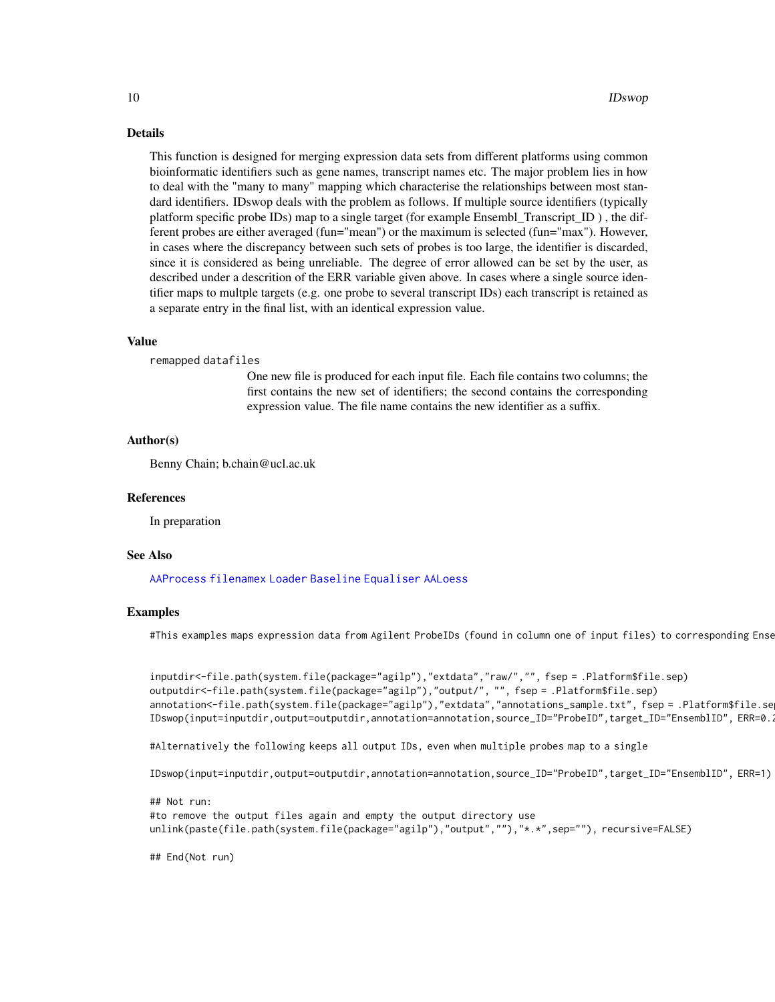# <span id="page-9-0"></span>Details

This function is designed for merging expression data sets from different platforms using common bioinformatic identifiers such as gene names, transcript names etc. The major problem lies in how to deal with the "many to many" mapping which characterise the relationships between most standard identifiers. IDswop deals with the problem as follows. If multiple source identifiers (typically platform specific probe IDs) map to a single target (for example Ensembl\_Transcript\_ID ) , the different probes are either averaged (fun="mean") or the maximum is selected (fun="max"). However, in cases where the discrepancy between such sets of probes is too large, the identifier is discarded, since it is considered as being unreliable. The degree of error allowed can be set by the user, as described under a descrition of the ERR variable given above. In cases where a single source identifier maps to multple targets (e.g. one probe to several transcript IDs) each transcript is retained as a separate entry in the final list, with an identical expression value.

### Value

remapped datafiles

One new file is produced for each input file. Each file contains two columns; the first contains the new set of identifiers; the second contains the corresponding expression value. The file name contains the new identifier as a suffix.

# Author(s)

Benny Chain; b.chain@ucl.ac.uk

#### References

In preparation

#### See Also

[AAProcess](#page-2-1) [filenamex](#page-7-1) [Loader](#page-10-1) [Baseline](#page-4-1) [Equaliser](#page-5-1) [AALoess](#page-1-1)

#### Examples

#This examples maps expression data from Agilent ProbeIDs (found in column one of input files) to corresponding Ense

```
inputdir<-file.path(system.file(package="agilp"),"extdata","raw/","", fsep = .Platform$file.sep)
outputdir<-file.path(system.file(package="agilp"),"output/", "", fsep = .Platform$file.sep)
annotation<-file.path(system.file(package="agilp"),"extdata","annotations_sample.txt", fsep = .Platform$file.se
IDswop(input=inputdir,output=outputdir,annotation=annotation,source_ID="ProbeID",target_ID="EnsemblID", ERR=0.2)
```
#Alternatively the following keeps all output IDs, even when multiple probes map to a single

```
IDswop(input=inputdir,output=outputdir,annotation=annotation,source_ID="ProbeID",target_ID="EnsemblID", ERR=1)
```

```
## Not run:
#to remove the output files again and empty the output directory use
unlink(paste(file.path(system.file(package="agilp"),"output",""),"*.*",sep=""), recursive=FALSE)
```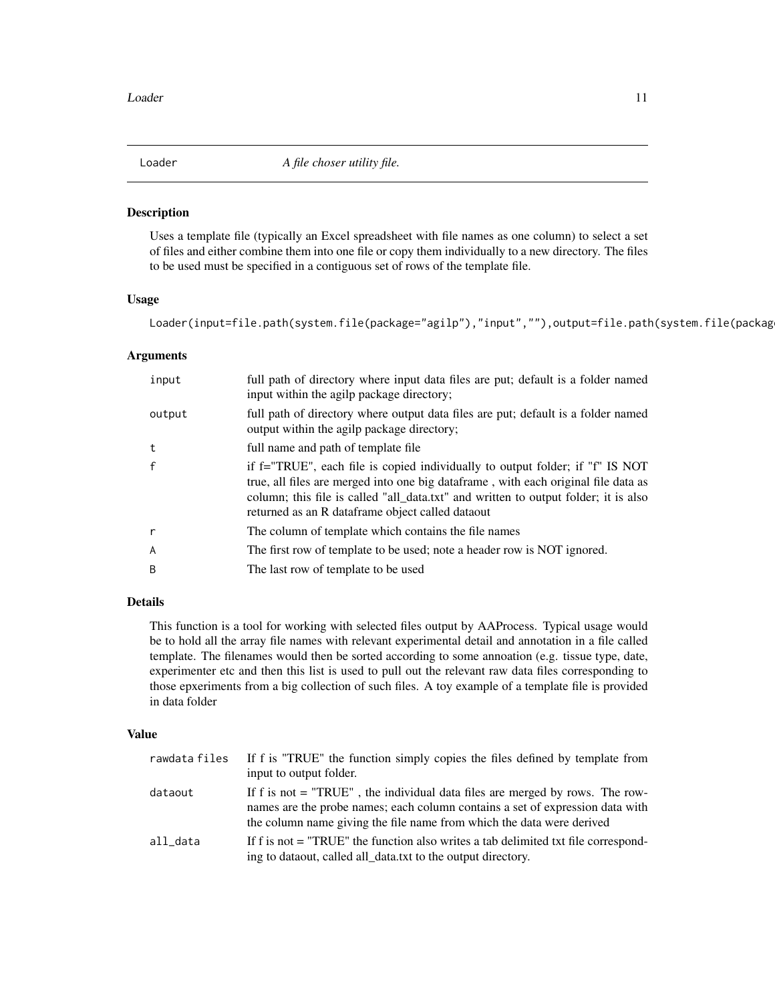<span id="page-10-1"></span><span id="page-10-0"></span>

#### Description

Uses a template file (typically an Excel spreadsheet with file names as one column) to select a set of files and either combine them into one file or copy them individually to a new directory. The files to be used must be specified in a contiguous set of rows of the template file.

# Usage

Loader(input=file.path(system.file(package="agilp"),"input",""),output=file.path(system.file(packag

# Arguments

| input        | full path of directory where input data files are put; default is a folder named<br>input within the agilp package directory;                                                                                                                                                                                   |
|--------------|-----------------------------------------------------------------------------------------------------------------------------------------------------------------------------------------------------------------------------------------------------------------------------------------------------------------|
| output       | full path of directory where output data files are put; default is a folder named<br>output within the agilp package directory;                                                                                                                                                                                 |
| t            | full name and path of template file                                                                                                                                                                                                                                                                             |
| $\mathsf{f}$ | if f="TRUE", each file is copied individually to output folder; if "f" IS NOT<br>true, all files are merged into one big data frame, with each original file data as<br>column; this file is called "all_data.txt" and written to output folder; it is also<br>returned as an R dataframe object called dataout |
| r            | The column of template which contains the file names                                                                                                                                                                                                                                                            |
| A            | The first row of template to be used; note a header row is NOT ignored.                                                                                                                                                                                                                                         |
| B            | The last row of template to be used                                                                                                                                                                                                                                                                             |

# Details

This function is a tool for working with selected files output by AAProcess. Typical usage would be to hold all the array file names with relevant experimental detail and annotation in a file called template. The filenames would then be sorted according to some annoation (e.g. tissue type, date, experimenter etc and then this list is used to pull out the relevant raw data files corresponding to those epxeriments from a big collection of such files. A toy example of a template file is provided in data folder

# Value

| rawdata files | If f is "TRUE" the function simply copies the files defined by template from<br>input to output folder.                                                                                                                                  |
|---------------|------------------------------------------------------------------------------------------------------------------------------------------------------------------------------------------------------------------------------------------|
| dataout       | If f is not $=$ "TRUE", the individual data files are merged by rows. The row-<br>names are the probe names; each column contains a set of expression data with<br>the column name giving the file name from which the data were derived |
| all data      | If f is not = "TRUE" the function also writes a tab delimited txt file correspond-<br>ing to dataout, called all_data.txt to the output directory.                                                                                       |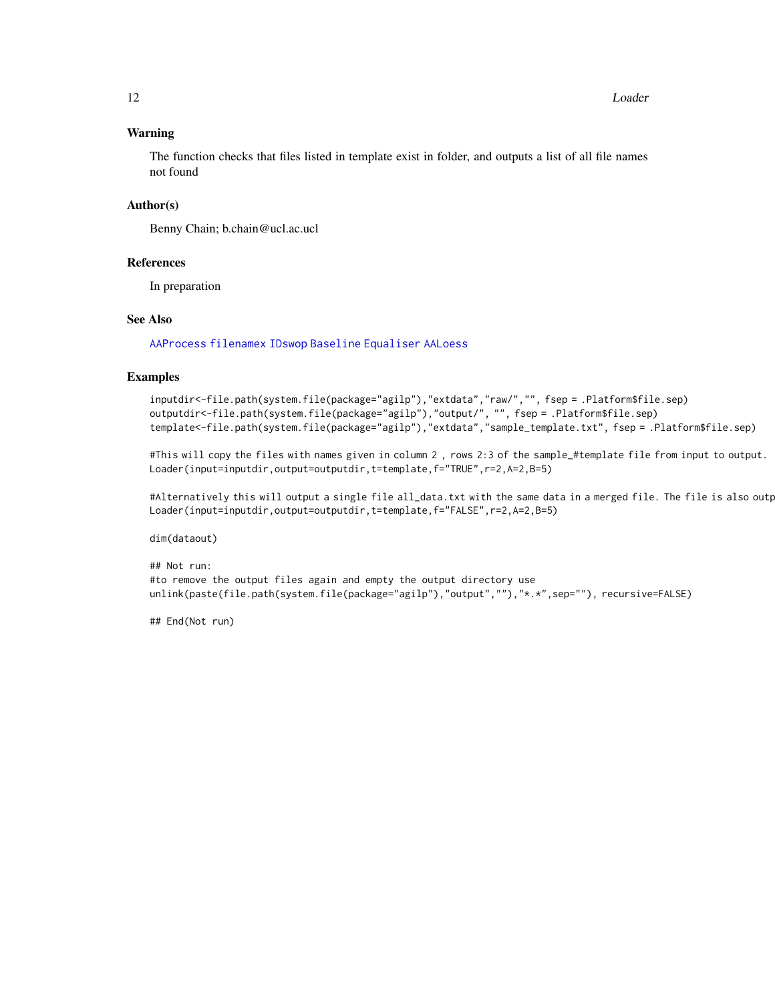# <span id="page-11-0"></span>12 Loader

# Warning

The function checks that files listed in template exist in folder, and outputs a list of all file names not found

# Author(s)

Benny Chain; b.chain@ucl.ac.ucl

# References

In preparation

# See Also

[AAProcess](#page-2-1) [filenamex](#page-7-1) [IDswop](#page-8-1) [Baseline](#page-4-1) [Equaliser](#page-5-1) [AALoess](#page-1-1)

# Examples

```
inputdir<-file.path(system.file(package="agilp"),"extdata","raw/","", fsep = .Platform$file.sep)
outputdir<-file.path(system.file(package="agilp"),"output/", "", fsep = .Platform$file.sep)
template<-file.path(system.file(package="agilp"),"extdata","sample_template.txt", fsep = .Platform$file.sep)
```
#This will copy the files with names given in column 2 , rows 2:3 of the sample\_#template file from input to output. Loader(input=inputdir,output=outputdir,t=template,f="TRUE",r=2,A=2,B=5)

#Alternatively this will output a single file all\_data.txt with the same data in a merged file. The file is also outp Loader(input=inputdir,output=outputdir,t=template,f="FALSE",r=2,A=2,B=5)

dim(dataout)

```
## Not run:
#to remove the output files again and empty the output directory use
unlink(paste(file.path(system.file(package="agilp"),"output",""),"*.*",sep=""), recursive=FALSE)
```